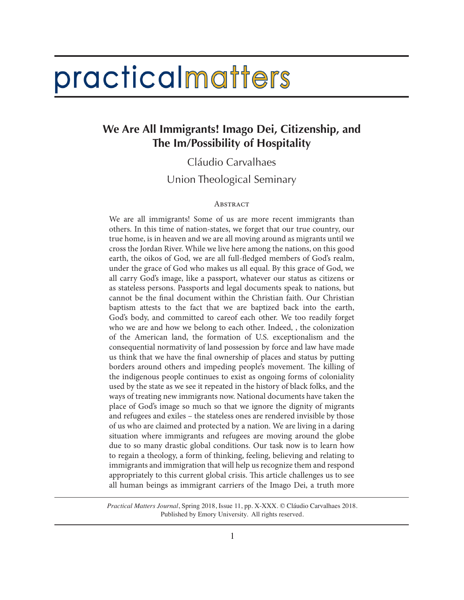# practicalmatters

# **We Are All Immigrants! Imago Dei, Citizenship, and The Im/Possibility of Hospitality**

Cláudio Carvalhaes

Union Theological Seminary

## **ABSTRACT**

We are all immigrants! Some of us are more recent immigrants than others. In this time of nation-states, we forget that our true country, our true home, is in heaven and we are all moving around as migrants until we cross the Jordan River. While we live here among the nations, on this good earth, the oikos of God, we are all full-fledged members of God's realm, under the grace of God who makes us all equal. By this grace of God, we all carry God's image, like a passport, whatever our status as citizens or as stateless persons. Passports and legal documents speak to nations, but cannot be the final document within the Christian faith. Our Christian baptism attests to the fact that we are baptized back into the earth, God's body, and committed to careof each other. We too readily forget who we are and how we belong to each other. Indeed, , the colonization of the American land, the formation of U.S. exceptionalism and the consequential normativity of land possession by force and law have made us think that we have the final ownership of places and status by putting borders around others and impeding people's movement. The killing of the indigenous people continues to exist as ongoing forms of coloniality used by the state as we see it repeated in the history of black folks, and the ways of treating new immigrants now. National documents have taken the place of God's image so much so that we ignore the dignity of migrants and refugees and exiles – the stateless ones are rendered invisible by those of us who are claimed and protected by a nation. We are living in a daring situation where immigrants and refugees are moving around the globe due to so many drastic global conditions. Our task now is to learn how to regain a theology, a form of thinking, feeling, believing and relating to immigrants and immigration that will help us recognize them and respond appropriately to this current global crisis. This article challenges us to see all human beings as immigrant carriers of the Imago Dei, a truth more

*Practical Matters Journal*, Spring 2018, Issue 11, pp. X-XXX. © Cláudio Carvalhaes 2018. Published by Emory University. All rights reserved.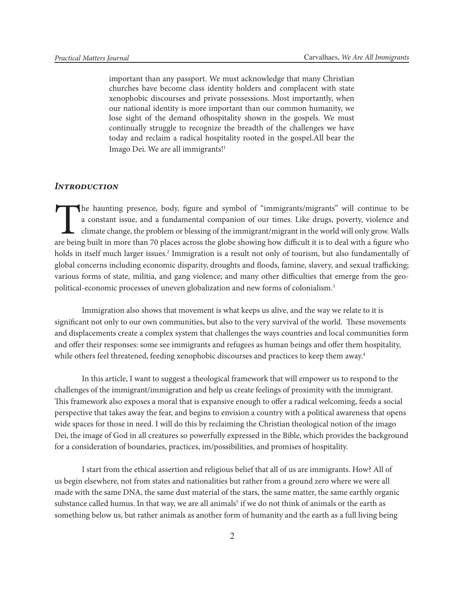important than any passport. We must acknowledge that many Christian churches have become class identity holders and complacent with state xenophobic discourses and private possessions. Most importantly, when our national identity is more important than our common humanity, we lose sight of the demand ofhospitality shown in the gospels. We must continually struggle to recognize the breadth of the challenges we have today and reclaim a radical hospitality rooted in the gospel.All bear the Imago Dei. We are all immigrants!1

## *Introduction*

The haunting presence, body, figure and symbol of "immigrants/migrants" will continue to be a constant issue, and a fundamental companion of our times. Like drugs, poverty, violence and climate change, the problem or blessing of the immigrant/migrant in the world will only grow. Walls are being built in more than 70 places across the globe showing how difficult it is to deal with a figure who holds in itself much larger issues.<sup>2</sup> Immigration is a result not only of tourism, but also fundamentally of global concerns including economic disparity, droughts and floods, famine, slavery, and sexual trafficking; various forms of state, militia, and gang violence; and many other difficulties that emerge from the geopolitical-economic processes of uneven globalization and new forms of colonialism.3

Immigration also shows that movement is what keeps us alive, and the way we relate to it is significant not only to our own communities, but also to the very survival of the world. These movements and displacements create a complex system that challenges the ways countries and local communities form and offer their responses: some see immigrants and refugees as human beings and offer them hospitality, while others feel threatened, feeding xenophobic discourses and practices to keep them away.<sup>4</sup>

In this article, I want to suggest a theological framework that will empower us to respond to the challenges of the immigrant/immigration and help us create feelings of proximity with the immigrant. This framework also exposes a moral that is expansive enough to offer a radical welcoming, feeds a social perspective that takes away the fear, and begins to envision a country with a political awareness that opens wide spaces for those in need. I will do this by reclaiming the Christian theological notion of the imago Dei, the image of God in all creatures so powerfully expressed in the Bible, which provides the background for a consideration of boundaries, practices, im/possibilities, and promises of hospitality.

I start from the ethical assertion and religious belief that all of us are immigrants. How? All of us begin elsewhere, not from states and nationalities but rather from a ground zero where we were all made with the same DNA, the same dust material of the stars, the same matter, the same earthly organic substance called humus. In that way, we are all animals<sup>5</sup> if we do not think of animals or the earth as something below us, but rather animals as another form of humanity and the earth as a full living being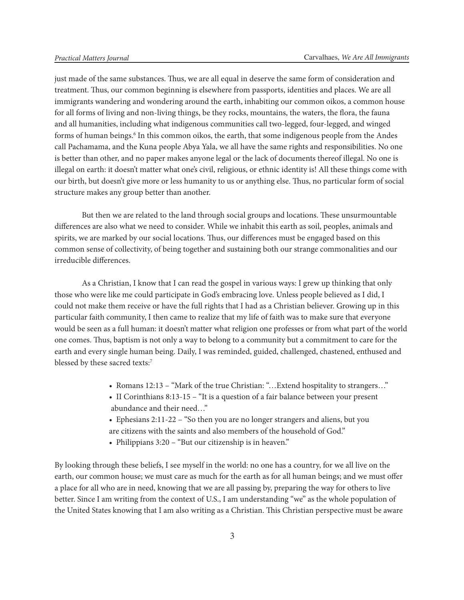just made of the same substances. Thus, we are all equal in deserve the same form of consideration and treatment. Thus, our common beginning is elsewhere from passports, identities and places. We are all immigrants wandering and wondering around the earth, inhabiting our common oikos, a common house for all forms of living and non-living things, be they rocks, mountains, the waters, the flora, the fauna and all humanities, including what indigenous communities call two-legged, four-legged, and winged forms of human beings.<sup>6</sup> In this common oikos, the earth, that some indigenous people from the Andes call Pachamama, and the Kuna people Abya Yala, we all have the same rights and responsibilities. No one is better than other, and no paper makes anyone legal or the lack of documents thereof illegal. No one is illegal on earth: it doesn't matter what one's civil, religious, or ethnic identity is! All these things come with our birth, but doesn't give more or less humanity to us or anything else. Thus, no particular form of social structure makes any group better than another.

But then we are related to the land through social groups and locations. These unsurmountable differences are also what we need to consider. While we inhabit this earth as soil, peoples, animals and spirits, we are marked by our social locations. Thus, our differences must be engaged based on this common sense of collectivity, of being together and sustaining both our strange commonalities and our irreducible differences.

As a Christian, I know that I can read the gospel in various ways: I grew up thinking that only those who were like me could participate in God's embracing love. Unless people believed as I did, I could not make them receive or have the full rights that I had as a Christian believer. Growing up in this particular faith community, I then came to realize that my life of faith was to make sure that everyone would be seen as a full human: it doesn't matter what religion one professes or from what part of the world one comes. Thus, baptism is not only a way to belong to a community but a commitment to care for the earth and every single human being. Daily, I was reminded, guided, challenged, chastened, enthused and blessed by these sacred texts:7

- Romans 12:13 "Mark of the true Christian: "... Extend hospitality to strangers..."
- II Corinthians 8:13-15 "It is a question of a fair balance between your present abundance and their need…"
- Ephesians 2:11-22 "So then you are no longer strangers and aliens, but you are citizens with the saints and also members of the household of God."
- Philippians 3:20 "But our citizenship is in heaven."

By looking through these beliefs, I see myself in the world: no one has a country, for we all live on the earth, our common house; we must care as much for the earth as for all human beings; and we must offer a place for all who are in need, knowing that we are all passing by, preparing the way for others to live better. Since I am writing from the context of U.S., I am understanding "we" as the whole population of the United States knowing that I am also writing as a Christian. This Christian perspective must be aware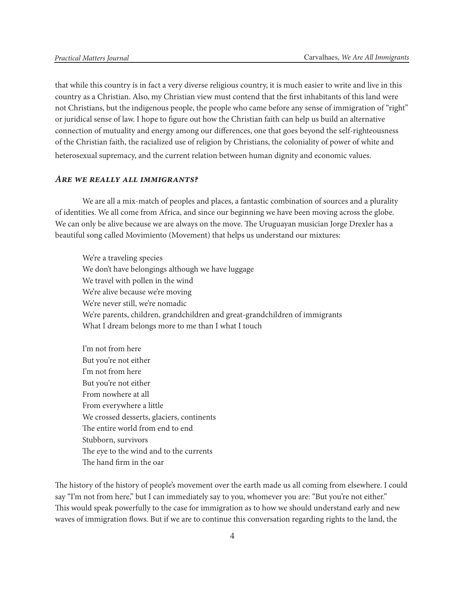that while this country is in fact a very diverse religious country, it is much easier to write and live in this country as a Christian. Also, my Christian view must contend that the first inhabitants of this land were not Christians, but the indigenous people, the people who came before any sense of immigration of "right" or juridical sense of law. I hope to figure out how the Christian faith can help us build an alternative connection of mutuality and energy among our differences, one that goes beyond the self-righteousness of the Christian faith, the racialized use of religion by Christians, the coloniality of power of white and heterosexual supremacy, and the current relation between human dignity and economic values.

### *Are we really all immigrants?*

We are all a mix-match of peoples and places, a fantastic combination of sources and a plurality of identities. We all come from Africa, and since our beginning we have been moving across the globe. We can only be alive because we are always on the move. The Uruguayan musician Jorge Drexler has a beautiful song called Movimiento (Movement) that helps us understand our mixtures:

We're a traveling species We don't have belongings although we have luggage We travel with pollen in the wind We're alive because we're moving We're never still, we're nomadic We're parents, children, grandchildren and great-grandchildren of immigrants What I dream belongs more to me than I what I touch

I'm not from here But you're not either I'm not from here But you're not either From nowhere at all From everywhere a little We crossed desserts, glaciers, continents The entire world from end to end Stubborn, survivors The eye to the wind and to the currents The hand firm in the oar

The history of the history of people's movement over the earth made us all coming from elsewhere. I could say "I'm not from here," but I can immediately say to you, whomever you are: "But you're not either." This would speak powerfully to the case for immigration as to how we should understand early and new waves of immigration flows. But if we are to continue this conversation regarding rights to the land, the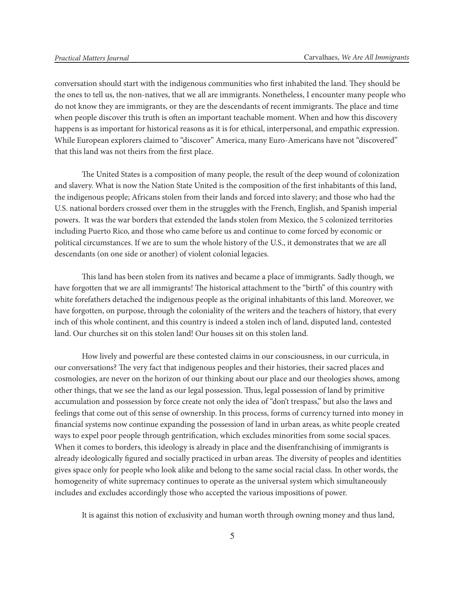conversation should start with the indigenous communities who first inhabited the land. They should be the ones to tell us, the non-natives, that we all are immigrants. Nonetheless, I encounter many people who do not know they are immigrants, or they are the descendants of recent immigrants. The place and time when people discover this truth is often an important teachable moment. When and how this discovery happens is as important for historical reasons as it is for ethical, interpersonal, and empathic expression. While European explorers claimed to "discover" America, many Euro-Americans have not "discovered" that this land was not theirs from the first place.

The United States is a composition of many people, the result of the deep wound of colonization and slavery. What is now the Nation State United is the composition of the first inhabitants of this land, the indigenous people; Africans stolen from their lands and forced into slavery; and those who had the U.S. national borders crossed over them in the struggles with the French, English, and Spanish imperial powers. It was the war borders that extended the lands stolen from Mexico, the 5 colonized territories including Puerto Rico, and those who came before us and continue to come forced by economic or political circumstances. If we are to sum the whole history of the U.S., it demonstrates that we are all descendants (on one side or another) of violent colonial legacies.

This land has been stolen from its natives and became a place of immigrants. Sadly though, we have forgotten that we are all immigrants! The historical attachment to the "birth" of this country with white forefathers detached the indigenous people as the original inhabitants of this land. Moreover, we have forgotten, on purpose, through the coloniality of the writers and the teachers of history, that every inch of this whole continent, and this country is indeed a stolen inch of land, disputed land, contested land. Our churches sit on this stolen land! Our houses sit on this stolen land.

How lively and powerful are these contested claims in our consciousness, in our curricula, in our conversations? The very fact that indigenous peoples and their histories, their sacred places and cosmologies, are never on the horizon of our thinking about our place and our theologies shows, among other things, that we see the land as our legal possession. Thus, legal possession of land by primitive accumulation and possession by force create not only the idea of "don't trespass," but also the laws and feelings that come out of this sense of ownership. In this process, forms of currency turned into money in financial systems now continue expanding the possession of land in urban areas, as white people created ways to expel poor people through gentrification, which excludes minorities from some social spaces. When it comes to borders, this ideology is already in place and the disenfranchising of immigrants is already ideologically figured and socially practiced in urban areas. The diversity of peoples and identities gives space only for people who look alike and belong to the same social racial class. In other words, the homogeneity of white supremacy continues to operate as the universal system which simultaneously includes and excludes accordingly those who accepted the various impositions of power.

It is against this notion of exclusivity and human worth through owning money and thus land,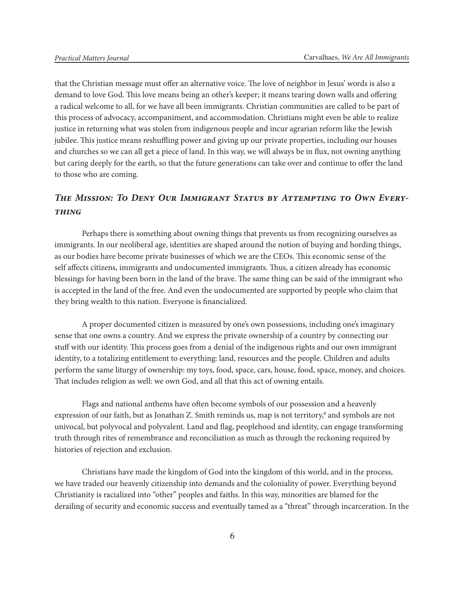that the Christian message must offer an alternative voice. The love of neighbor in Jesus' words is also a demand to love God. This love means being an other's keeper; it means tearing down walls and offering a radical welcome to all, for we have all been immigrants. Christian communities are called to be part of this process of advocacy, accompaniment, and accommodation. Christians might even be able to realize justice in returning what was stolen from indigenous people and incur agrarian reform like the Jewish jubilee. This justice means reshuffling power and giving up our private properties, including our houses and churches so we can all get a piece of land. In this way, we will always be in flux, not owning anything but caring deeply for the earth, so that the future generations can take over and continue to offer the land to those who are coming.

# *The Mission: To Deny Our Immigrant Status by Attempting to Own Everything*

Perhaps there is something about owning things that prevents us from recognizing ourselves as immigrants. In our neoliberal age, identities are shaped around the notion of buying and hording things, as our bodies have become private businesses of which we are the CEOs. This economic sense of the self affects citizens, immigrants and undocumented immigrants. Thus, a citizen already has economic blessings for having been born in the land of the brave. The same thing can be said of the immigrant who is accepted in the land of the free. And even the undocumented are supported by people who claim that they bring wealth to this nation. Everyone is financialized.

A proper documented citizen is measured by one's own possessions, including one's imaginary sense that one owns a country. And we express the private ownership of a country by connecting our stuff with our identity. This process goes from a denial of the indigenous rights and our own immigrant identity, to a totalizing entitlement to everything: land, resources and the people. Children and adults perform the same liturgy of ownership: my toys, food, space, cars, house, food, space, money, and choices. That includes religion as well: we own God, and all that this act of owning entails.

Flags and national anthems have often become symbols of our possession and a heavenly expression of our faith, but as Jonathan Z. Smith reminds us, map is not territory,<sup>8</sup> and symbols are not univocal, but polyvocal and polyvalent. Land and flag, peoplehood and identity, can engage transforming truth through rites of remembrance and reconciliation as much as through the reckoning required by histories of rejection and exclusion.

Christians have made the kingdom of God into the kingdom of this world, and in the process, we have traded our heavenly citizenship into demands and the coloniality of power. Everything beyond Christianity is racialized into "other" peoples and faiths. In this way, minorities are blamed for the derailing of security and economic success and eventually tamed as a "threat" through incarceration. In the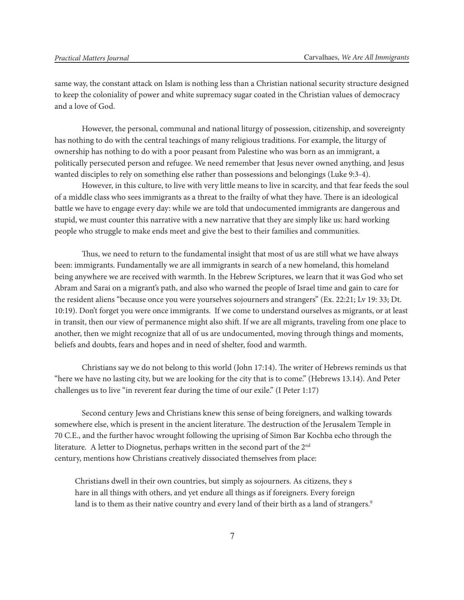same way, the constant attack on Islam is nothing less than a Christian national security structure designed to keep the coloniality of power and white supremacy sugar coated in the Christian values of democracy and a love of God.

However, the personal, communal and national liturgy of possession, citizenship, and sovereignty has nothing to do with the central teachings of many religious traditions. For example, the liturgy of ownership has nothing to do with a poor peasant from Palestine who was born as an immigrant, a politically persecuted person and refugee. We need remember that Jesus never owned anything, and Jesus wanted disciples to rely on something else rather than possessions and belongings (Luke 9:3-4).

However, in this culture, to live with very little means to live in scarcity, and that fear feeds the soul of a middle class who sees immigrants as a threat to the frailty of what they have. There is an ideological battle we have to engage every day: while we are told that undocumented immigrants are dangerous and stupid, we must counter this narrative with a new narrative that they are simply like us: hard working people who struggle to make ends meet and give the best to their families and communities.

Thus, we need to return to the fundamental insight that most of us are still what we have always been: immigrants. Fundamentally we are all immigrants in search of a new homeland, this homeland being anywhere we are received with warmth. In the Hebrew Scriptures, we learn that it was God who set Abram and Sarai on a migrant's path, and also who warned the people of Israel time and gain to care for the resident aliens "because once you were yourselves sojourners and strangers" (Ex. 22:21; Lv 19: 33; Dt. 10:19). Don't forget you were once immigrants. If we come to understand ourselves as migrants, or at least in transit, then our view of permanence might also shift. If we are all migrants, traveling from one place to another, then we might recognize that all of us are undocumented, moving through things and moments, beliefs and doubts, fears and hopes and in need of shelter, food and warmth.

Christians say we do not belong to this world (John 17:14). The writer of Hebrews reminds us that "here we have no lasting city, but we are looking for the city that is to come." (Hebrews 13.14). And Peter challenges us to live "in reverent fear during the time of our exile." (I Peter 1:17)

Second century Jews and Christians knew this sense of being foreigners, and walking towards somewhere else, which is present in the ancient literature. The destruction of the Jerusalem Temple in 70 C.E., and the further havoc wrought following the uprising of Simon Bar Kochba echo through the literature. A letter to Diognetus, perhaps written in the second part of the 2nd century, mentions how Christians creatively dissociated themselves from place:

Christians dwell in their own countries, but simply as sojourners. As citizens, they s hare in all things with others, and yet endure all things as if foreigners. Every foreign land is to them as their native country and every land of their birth as a land of strangers.<sup>9</sup>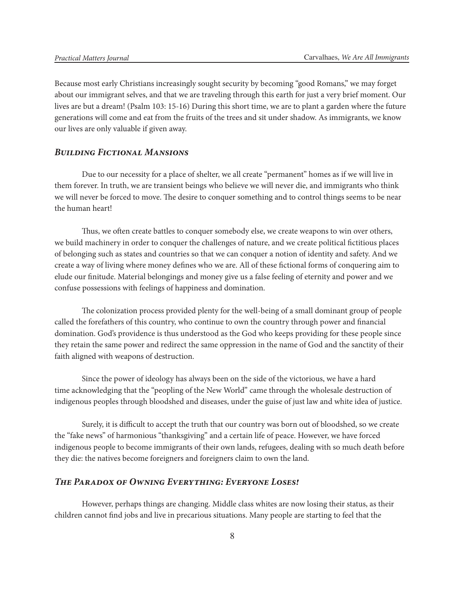Because most early Christians increasingly sought security by becoming "good Romans," we may forget about our immigrant selves, and that we are traveling through this earth for just a very brief moment. Our lives are but a dream! (Psalm 103: 15-16) During this short time, we are to plant a garden where the future generations will come and eat from the fruits of the trees and sit under shadow. As immigrants, we know our lives are only valuable if given away.

# *Building Fictional Mansions*

Due to our necessity for a place of shelter, we all create "permanent" homes as if we will live in them forever. In truth, we are transient beings who believe we will never die, and immigrants who think we will never be forced to move. The desire to conquer something and to control things seems to be near the human heart!

Thus, we often create battles to conquer somebody else, we create weapons to win over others, we build machinery in order to conquer the challenges of nature, and we create political fictitious places of belonging such as states and countries so that we can conquer a notion of identity and safety. And we create a way of living where money defines who we are. All of these fictional forms of conquering aim to elude our finitude. Material belongings and money give us a false feeling of eternity and power and we confuse possessions with feelings of happiness and domination.

The colonization process provided plenty for the well-being of a small dominant group of people called the forefathers of this country, who continue to own the country through power and financial domination. God's providence is thus understood as the God who keeps providing for these people since they retain the same power and redirect the same oppression in the name of God and the sanctity of their faith aligned with weapons of destruction.

Since the power of ideology has always been on the side of the victorious, we have a hard time acknowledging that the "peopling of the New World" came through the wholesale destruction of indigenous peoples through bloodshed and diseases, under the guise of just law and white idea of justice.

Surely, it is difficult to accept the truth that our country was born out of bloodshed, so we create the "fake news" of harmonious "thanksgiving" and a certain life of peace. However, we have forced indigenous people to become immigrants of their own lands, refugees, dealing with so much death before they die: the natives become foreigners and foreigners claim to own the land.

## *The Paradox of Owning Everything: Everyone Loses!*

However, perhaps things are changing. Middle class whites are now losing their status, as their children cannot find jobs and live in precarious situations. Many people are starting to feel that the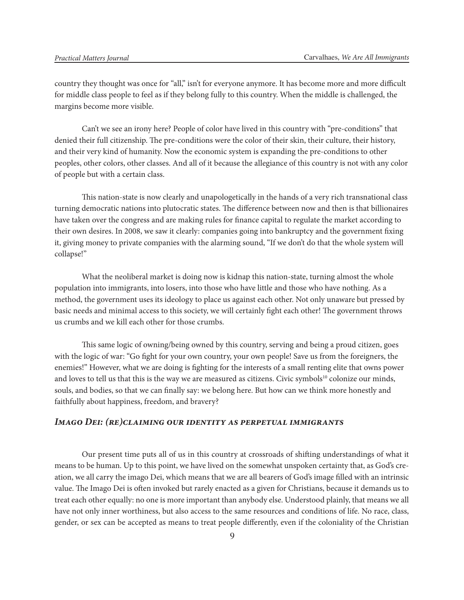country they thought was once for "all," isn't for everyone anymore. It has become more and more difficult for middle class people to feel as if they belong fully to this country. When the middle is challenged, the margins become more visible.

Can't we see an irony here? People of color have lived in this country with "pre-conditions" that denied their full citizenship. The pre-conditions were the color of their skin, their culture, their history, and their very kind of humanity. Now the economic system is expanding the pre-conditions to other peoples, other colors, other classes. And all of it because the allegiance of this country is not with any color of people but with a certain class.

This nation-state is now clearly and unapologetically in the hands of a very rich transnational class turning democratic nations into plutocratic states. The difference between now and then is that billionaires have taken over the congress and are making rules for finance capital to regulate the market according to their own desires. In 2008, we saw it clearly: companies going into bankruptcy and the government fixing it, giving money to private companies with the alarming sound, "If we don't do that the whole system will collapse!"

What the neoliberal market is doing now is kidnap this nation-state, turning almost the whole population into immigrants, into losers, into those who have little and those who have nothing. As a method, the government uses its ideology to place us against each other. Not only unaware but pressed by basic needs and minimal access to this society, we will certainly fight each other! The government throws us crumbs and we kill each other for those crumbs.

This same logic of owning/being owned by this country, serving and being a proud citizen, goes with the logic of war: "Go fight for your own country, your own people! Save us from the foreigners, the enemies!" However, what we are doing is fighting for the interests of a small renting elite that owns power and loves to tell us that this is the way we are measured as citizens. Civic symbols<sup>10</sup> colonize our minds, souls, and bodies, so that we can finally say: we belong here. But how can we think more honestly and faithfully about happiness, freedom, and bravery?

## *Imago Dei: (re)claiming our identity as perpetual immigrants*

Our present time puts all of us in this country at crossroads of shifting understandings of what it means to be human. Up to this point, we have lived on the somewhat unspoken certainty that, as God's creation, we all carry the imago Dei, which means that we are all bearers of God's image filled with an intrinsic value. The Imago Dei is often invoked but rarely enacted as a given for Christians, because it demands us to treat each other equally: no one is more important than anybody else. Understood plainly, that means we all have not only inner worthiness, but also access to the same resources and conditions of life. No race, class, gender, or sex can be accepted as means to treat people differently, even if the coloniality of the Christian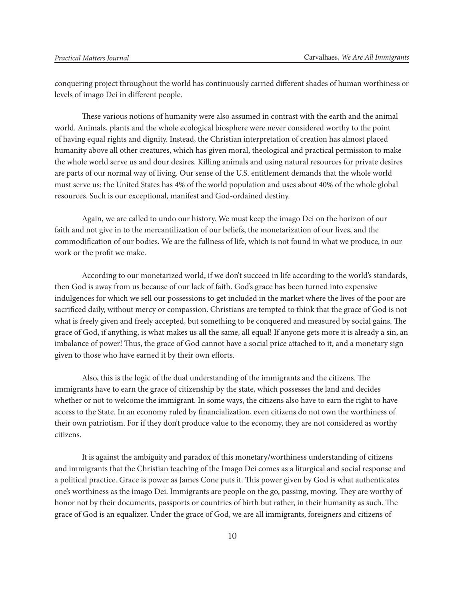conquering project throughout the world has continuously carried different shades of human worthiness or levels of imago Dei in different people.

These various notions of humanity were also assumed in contrast with the earth and the animal world. Animals, plants and the whole ecological biosphere were never considered worthy to the point of having equal rights and dignity. Instead, the Christian interpretation of creation has almost placed humanity above all other creatures, which has given moral, theological and practical permission to make the whole world serve us and dour desires. Killing animals and using natural resources for private desires are parts of our normal way of living. Our sense of the U.S. entitlement demands that the whole world must serve us: the United States has 4% of the world population and uses about 40% of the whole global resources. Such is our exceptional, manifest and God-ordained destiny.

Again, we are called to undo our history. We must keep the imago Dei on the horizon of our faith and not give in to the mercantilization of our beliefs, the monetarization of our lives, and the commodification of our bodies. We are the fullness of life, which is not found in what we produce, in our work or the profit we make.

According to our monetarized world, if we don't succeed in life according to the world's standards, then God is away from us because of our lack of faith. God's grace has been turned into expensive indulgences for which we sell our possessions to get included in the market where the lives of the poor are sacrificed daily, without mercy or compassion. Christians are tempted to think that the grace of God is not what is freely given and freely accepted, but something to be conquered and measured by social gains. The grace of God, if anything, is what makes us all the same, all equal! If anyone gets more it is already a sin, an imbalance of power! Thus, the grace of God cannot have a social price attached to it, and a monetary sign given to those who have earned it by their own efforts.

Also, this is the logic of the dual understanding of the immigrants and the citizens. The immigrants have to earn the grace of citizenship by the state, which possesses the land and decides whether or not to welcome the immigrant. In some ways, the citizens also have to earn the right to have access to the State. In an economy ruled by financialization, even citizens do not own the worthiness of their own patriotism. For if they don't produce value to the economy, they are not considered as worthy citizens.

It is against the ambiguity and paradox of this monetary/worthiness understanding of citizens and immigrants that the Christian teaching of the Imago Dei comes as a liturgical and social response and a political practice. Grace is power as James Cone puts it. This power given by God is what authenticates one's worthiness as the imago Dei. Immigrants are people on the go, passing, moving. They are worthy of honor not by their documents, passports or countries of birth but rather, in their humanity as such. The grace of God is an equalizer. Under the grace of God, we are all immigrants, foreigners and citizens of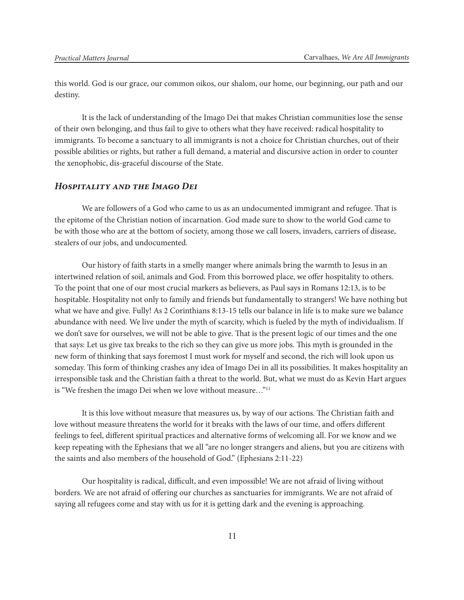this world. God is our grace, our common oikos, our shalom, our home, our beginning, our path and our destiny.

It is the lack of understanding of the Imago Dei that makes Christian communities lose the sense of their own belonging, and thus fail to give to others what they have received: radical hospitality to immigrants. To become a sanctuary to all immigrants is not a choice for Christian churches, out of their possible abilities or rights, but rather a full demand, a material and discursive action in order to counter the xenophobic, dis-graceful discourse of the State.

# *Hospitality and the Imago Dei*

We are followers of a God who came to us as an undocumented immigrant and refugee. That is the epitome of the Christian notion of incarnation. God made sure to show to the world God came to be with those who are at the bottom of society, among those we call losers, invaders, carriers of disease, stealers of our jobs, and undocumented.

Our history of faith starts in a smelly manger where animals bring the warmth to Jesus in an intertwined relation of soil, animals and God. From this borrowed place, we offer hospitality to others. To the point that one of our most crucial markers as believers, as Paul says in Romans 12:13, is to be hospitable. Hospitality not only to family and friends but fundamentally to strangers! We have nothing but what we have and give. Fully! As 2 Corinthians 8:13-15 tells our balance in life is to make sure we balance abundance with need. We live under the myth of scarcity, which is fueled by the myth of individualism. If we don't save for ourselves, we will not be able to give. That is the present logic of our times and the one that says: Let us give tax breaks to the rich so they can give us more jobs. This myth is grounded in the new form of thinking that says foremost I must work for myself and second, the rich will look upon us someday. This form of thinking crashes any idea of Imago Dei in all its possibilities. It makes hospitality an irresponsible task and the Christian faith a threat to the world. But, what we must do as Kevin Hart argues is "We freshen the imago Dei when we love without measure…"11

It is this love without measure that measures us, by way of our actions. The Christian faith and love without measure threatens the world for it breaks with the laws of our time, and offers different feelings to feel, different spiritual practices and alternative forms of welcoming all. For we know and we keep repeating with the Ephesians that we all "are no longer strangers and aliens, but you are citizens with the saints and also members of the household of God." (Ephesians 2:11-22)

Our hospitality is radical, difficult, and even impossible! We are not afraid of living without borders. We are not afraid of offering our churches as sanctuaries for immigrants. We are not afraid of saying all refugees come and stay with us for it is getting dark and the evening is approaching.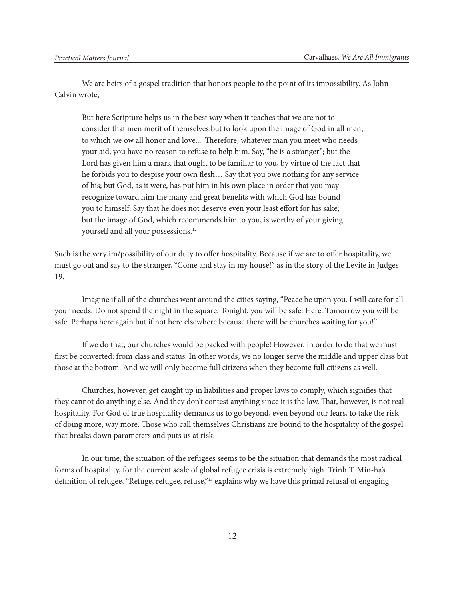We are heirs of a gospel tradition that honors people to the point of its impossibility. As John Calvin wrote,

But here Scripture helps us in the best way when it teaches that we are not to consider that men merit of themselves but to look upon the image of God in all men, to which we ow all honor and love... Therefore, whatever man you meet who needs your aid, you have no reason to refuse to help him. Say, "he is a stranger"; but the Lord has given him a mark that ought to be familiar to you, by virtue of the fact that he forbids you to despise your own flesh… Say that you owe nothing for any service of his; but God, as it were, has put him in his own place in order that you may recognize toward him the many and great benefits with which God has bound you to himself. Say that he does not deserve even your least effort for his sake; but the image of God, which recommends him to you, is worthy of your giving yourself and all your possessions.<sup>12</sup>

Such is the very im/possibility of our duty to offer hospitality. Because if we are to offer hospitality, we must go out and say to the stranger, "Come and stay in my house!" as in the story of the Levite in Judges 19.

Imagine if all of the churches went around the cities saying, "Peace be upon you. I will care for all your needs. Do not spend the night in the square. Tonight, you will be safe. Here. Tomorrow you will be safe. Perhaps here again but if not here elsewhere because there will be churches waiting for you!"

If we do that, our churches would be packed with people! However, in order to do that we must first be converted: from class and status. In other words, we no longer serve the middle and upper class but those at the bottom. And we will only become full citizens when they become full citizens as well.

Churches, however, get caught up in liabilities and proper laws to comply, which signifies that they cannot do anything else. And they don't contest anything since it is the law. That, however, is not real hospitality. For God of true hospitality demands us to go beyond, even beyond our fears, to take the risk of doing more, way more. Those who call themselves Christians are bound to the hospitality of the gospel that breaks down parameters and puts us at risk.

In our time, the situation of the refugees seems to be the situation that demands the most radical forms of hospitality, for the current scale of global refugee crisis is extremely high. Trinh T. Min-ha's definition of refugee, "Refuge, refugee, refuse,"<sup>13</sup> explains why we have this primal refusal of engaging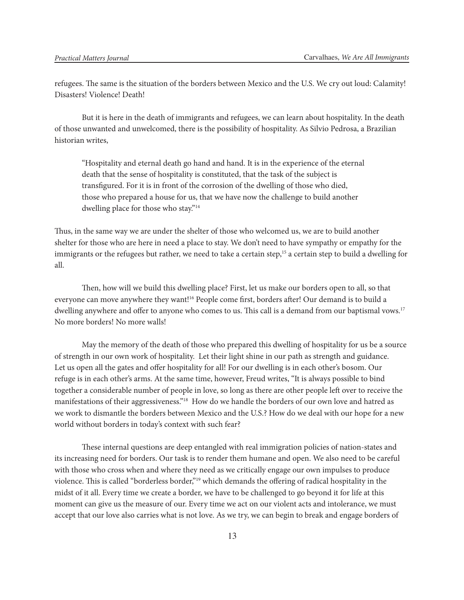refugees. The same is the situation of the borders between Mexico and the U.S. We cry out loud: Calamity! Disasters! Violence! Death!

But it is here in the death of immigrants and refugees, we can learn about hospitality. In the death of those unwanted and unwelcomed, there is the possibility of hospitality. As Silvio Pedrosa, a Brazilian historian writes,

"Hospitality and eternal death go hand and hand. It is in the experience of the eternal death that the sense of hospitality is constituted, that the task of the subject is transfigured. For it is in front of the corrosion of the dwelling of those who died, those who prepared a house for us, that we have now the challenge to build another dwelling place for those who stay."<sup>14</sup>

Thus, in the same way we are under the shelter of those who welcomed us, we are to build another shelter for those who are here in need a place to stay. We don't need to have sympathy or empathy for the immigrants or the refugees but rather, we need to take a certain step,<sup>15</sup> a certain step to build a dwelling for all.

Then, how will we build this dwelling place? First, let us make our borders open to all, so that everyone can move anywhere they want!16 People come first, borders after! Our demand is to build a dwelling anywhere and offer to anyone who comes to us. This call is a demand from our baptismal vows.<sup>17</sup> No more borders! No more walls!

May the memory of the death of those who prepared this dwelling of hospitality for us be a source of strength in our own work of hospitality. Let their light shine in our path as strength and guidance. Let us open all the gates and offer hospitality for all! For our dwelling is in each other's bosom. Our refuge is in each other's arms. At the same time, however, Freud writes, "It is always possible to bind together a considerable number of people in love, so long as there are other people left over to receive the manifestations of their aggressiveness."18 How do we handle the borders of our own love and hatred as we work to dismantle the borders between Mexico and the U.S.? How do we deal with our hope for a new world without borders in today's context with such fear?

These internal questions are deep entangled with real immigration policies of nation-states and its increasing need for borders. Our task is to render them humane and open. We also need to be careful with those who cross when and where they need as we critically engage our own impulses to produce violence. This is called "borderless border,"19 which demands the offering of radical hospitality in the midst of it all. Every time we create a border, we have to be challenged to go beyond it for life at this moment can give us the measure of our. Every time we act on our violent acts and intolerance, we must accept that our love also carries what is not love. As we try, we can begin to break and engage borders of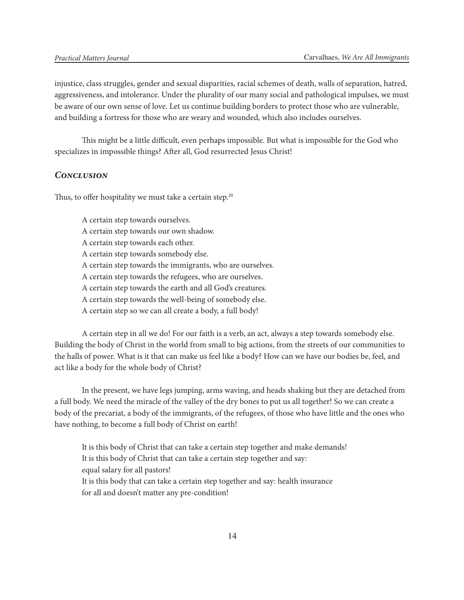injustice, class struggles, gender and sexual disparities, racial schemes of death, walls of separation, hatred, aggressiveness, and intolerance. Under the plurality of our many social and pathological impulses, we must be aware of our own sense of love. Let us continue building borders to protect those who are vulnerable, and building a fortress for those who are weary and wounded, which also includes ourselves.

This might be a little difficult, even perhaps impossible. But what is impossible for the God who specializes in impossible things? After all, God resurrected Jesus Christ!

# *Conclusion*

Thus, to offer hospitality we must take a certain step.<sup>20</sup>

A certain step towards ourselves.

- A certain step towards our own shadow.
- A certain step towards each other.
- A certain step towards somebody else.
- A certain step towards the immigrants, who are ourselves.
- A certain step towards the refugees, who are ourselves.
- A certain step towards the earth and all God's creatures.
- A certain step towards the well-being of somebody else.
- A certain step so we can all create a body, a full body!

A certain step in all we do! For our faith is a verb, an act, always a step towards somebody else. Building the body of Christ in the world from small to big actions, from the streets of our communities to the halls of power. What is it that can make us feel like a body? How can we have our bodies be, feel, and act like a body for the whole body of Christ?

In the present, we have legs jumping, arms waving, and heads shaking but they are detached from a full body. We need the miracle of the valley of the dry bones to put us all together! So we can create a body of the precariat, a body of the immigrants, of the refugees, of those who have little and the ones who have nothing, to become a full body of Christ on earth!

It is this body of Christ that can take a certain step together and make demands! It is this body of Christ that can take a certain step together and say: equal salary for all pastors! It is this body that can take a certain step together and say: health insurance for all and doesn't matter any pre-condition!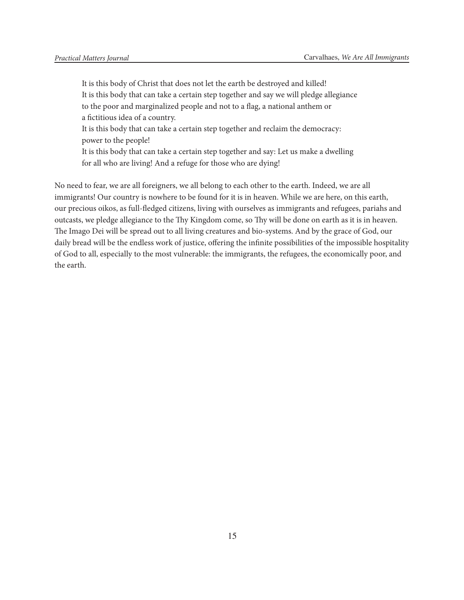It is this body of Christ that does not let the earth be destroyed and killed! It is this body that can take a certain step together and say we will pledge allegiance to the poor and marginalized people and not to a flag, a national anthem or a fictitious idea of a country.

It is this body that can take a certain step together and reclaim the democracy: power to the people!

It is this body that can take a certain step together and say: Let us make a dwelling for all who are living! And a refuge for those who are dying!

No need to fear, we are all foreigners, we all belong to each other to the earth. Indeed, we are all immigrants! Our country is nowhere to be found for it is in heaven. While we are here, on this earth, our precious oikos, as full-fledged citizens, living with ourselves as immigrants and refugees, pariahs and outcasts, we pledge allegiance to the Thy Kingdom come, so Thy will be done on earth as it is in heaven. The Imago Dei will be spread out to all living creatures and bio-systems. And by the grace of God, our daily bread will be the endless work of justice, offering the infinite possibilities of the impossible hospitality of God to all, especially to the most vulnerable: the immigrants, the refugees, the economically poor, and the earth.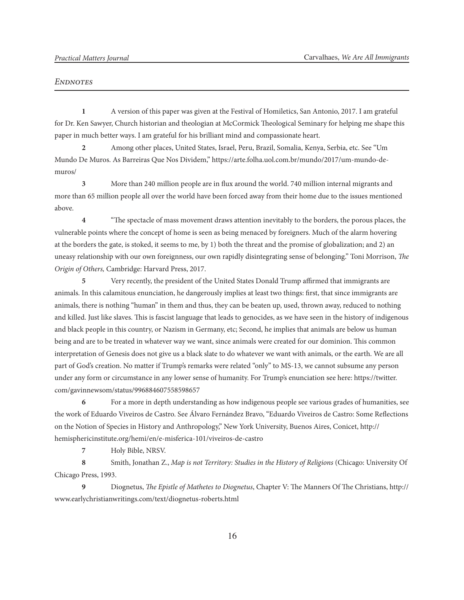#### *Endnotes*

**1** A version of this paper was given at the Festival of Homiletics, San Antonio, 2017. I am grateful for Dr. Ken Sawyer, Church historian and theologian at McCormick Theological Seminary for helping me shape this paper in much better ways. I am grateful for his brilliant mind and compassionate heart.

**2** Among other places, United States, Israel, Peru, Brazil, Somalia, Kenya, Serbia, etc. See "Um Mundo De Muros. As Barreiras Que Nos Dividem," https://arte.folha.uol.com.br/mundo/2017/um-mundo-demuros/

**3** More than 240 million people are in flux around the world. 740 million internal migrants and more than 65 million people all over the world have been forced away from their home due to the issues mentioned above.

**4** "The spectacle of mass movement draws attention inevitably to the borders, the porous places, the vulnerable points where the concept of home is seen as being menaced by foreigners. Much of the alarm hovering at the borders the gate, is stoked, it seems to me, by 1) both the threat and the promise of globalization; and 2) an uneasy relationship with our own foreignness, our own rapidly disintegrating sense of belonging." Toni Morrison, *The Origin of Others,* Cambridge: Harvard Press, 2017.

**5** Very recently, the president of the United States Donald Trump affirmed that immigrants are animals. In this calamitous enunciation, he dangerously implies at least two things: first, that since immigrants are animals, there is nothing "human" in them and thus, they can be beaten up, used, thrown away, reduced to nothing and killed. Just like slaves. This is fascist language that leads to genocides, as we have seen in the history of indigenous and black people in this country, or Nazism in Germany, etc; Second, he implies that animals are below us human being and are to be treated in whatever way we want, since animals were created for our dominion. This common interpretation of Genesis does not give us a black slate to do whatever we want with animals, or the earth. We are all part of God's creation. No matter if Trump's remarks were related "only" to MS-13, we cannot subsume any person under any form or circumstance in any lower sense of humanity. For Trump's enunciation see here: https://twitter. com/gavinnewsom/status/996884607558598657

**6** For a more in depth understanding as how indigenous people see various grades of humanities, see the work of Eduardo Viveiros de Castro. See Álvaro Fernández Bravo, "Eduardo Viveiros de Castro: Some Reflections on the Notion of Species in History and Anthropology," New York University, Buenos Aires, Conicet, http:// hemisphericinstitute.org/hemi/en/e-misferica-101/viveiros-de-castro

**7** Holy Bible, NRSV.

**8** Smith, Jonathan Z., *Map is not Territory: Studies in the History of Religions* (Chicago: University Of Chicago Press, 1993.

**9** Diognetus, *The Epistle of Mathetes to Diognetus*, Chapter V: The Manners Of The Christians, http:// www.earlychristianwritings.com/text/diognetus-roberts.html